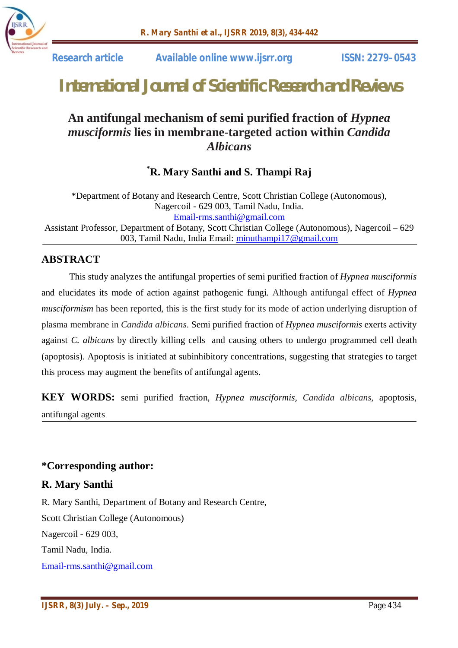

 **Research article Available online www.ijsrr.org ISSN: 2279–0543**

# *International Journal of Scientific Research and Reviews*

# **An antifungal mechanism of semi purified fraction of** *Hypnea musciformis* **lies in membrane-targeted action within** *Candida Albicans*

**\*R. Mary Santhi and S. Thampi Raj**

\*Department of Botany and Research Centre, Scott Christian College (Autonomous), Nagercoil - 629 003, Tamil Nadu, India. Email-rms.santhi@gmail.com Assistant Professor, Department of Botany, Scott Christian College (Autonomous), Nagercoil – 629 003, Tamil Nadu, India Email: minuthampi17@gmail.com

# **ABSTRACT**

This study analyzes the antifungal properties of semi purified fraction of *Hypnea musciformis*  and elucidates its mode of action against pathogenic fungi. Although antifungal effect of *Hypnea musciformism* has been reported, this is the first study for its mode of action underlying disruption of plasma membrane in *Candida albicans*. Semi purified fraction of *Hypnea musciformis* exerts activity against *C. albicans* by directly killing cells and causing others to undergo programmed cell death (apoptosis). Apoptosis is initiated at subinhibitory concentrations, suggesting that strategies to target this process may augment the benefits of antifungal agents.

**KEY WORDS:** semi purified fraction, *Hypnea musciformis, Candida albicans,* apoptosis, antifungal agents

# **\*Corresponding author:**

# **R. Mary Santhi**

R. Mary Santhi, Department of Botany and Research Centre, Scott Christian College (Autonomous) Nagercoil - 629 003, Tamil Nadu, India. Email-rms.santhi@gmail.com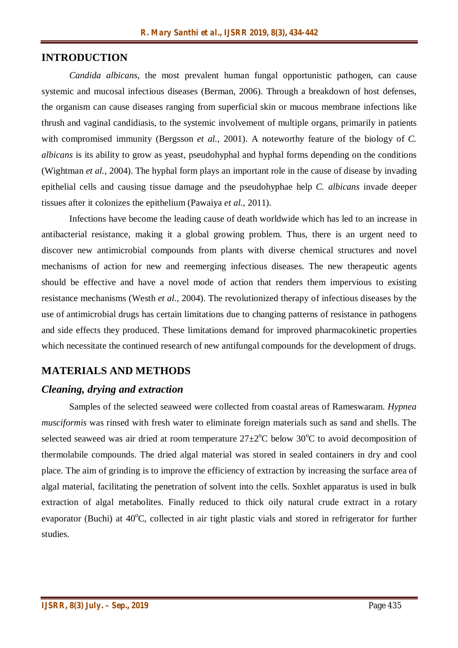# **INTRODUCTION**

*Candida albicans*, the most prevalent human fungal opportunistic pathogen, can cause systemic and mucosal infectious diseases (Berman, 2006). Through a breakdown of host defenses, the organism can cause diseases ranging from superficial skin or mucous membrane infections like thrush and vaginal candidiasis, to the systemic involvement of multiple organs, primarily in patients with compromised immunity (Bergsson *et al.*, 2001). A noteworthy feature of the biology of *C*. *albicans* is its ability to grow as yeast, pseudohyphal and hyphal forms depending on the conditions (Wightman *et al.,* 2004). The hyphal form plays an important role in the cause of disease by invading epithelial cells and causing tissue damage and the pseudohyphae help *C. albicans* invade deeper tissues after it colonizes the epithelium (Pawaiya *et al.,* 2011).

Infections have become the leading cause of death worldwide which has led to an increase in antibacterial resistance, making it a global growing problem. Thus, there is an urgent need to discover new antimicrobial compounds from plants with diverse chemical structures and novel mechanisms of action for new and reemerging infectious diseases. The new therapeutic agents should be effective and have a novel mode of action that renders them impervious to existing resistance mechanisms (Westh *et al.,* 2004). The revolutionized therapy of infectious diseases by the use of antimicrobial drugs has certain limitations due to changing patterns of resistance in pathogens and side effects they produced. These limitations demand for improved pharmacokinetic properties which necessitate the continued research of new antifungal compounds for the development of drugs.

# **MATERIALS AND METHODS**

#### *Cleaning, drying and extraction*

Samples of the selected seaweed were collected from coastal areas of Rameswaram. *Hypnea musciformis* was rinsed with fresh water to eliminate foreign materials such as sand and shells. The selected seaweed was air dried at room temperature  $27\pm2^{\circ}\text{C}$  below 30 $^{\circ}\text{C}$  to avoid decomposition of thermolabile compounds. The dried algal material was stored in sealed containers in dry and cool place. The aim of grinding is to improve the efficiency of extraction by increasing the surface area of algal material, facilitating the penetration of solvent into the cells. Soxhlet apparatus is used in bulk extraction of algal metabolites. Finally reduced to thick oily natural crude extract in a rotary evaporator (Buchi) at  $40^{\circ}$ C, collected in air tight plastic vials and stored in refrigerator for further studies.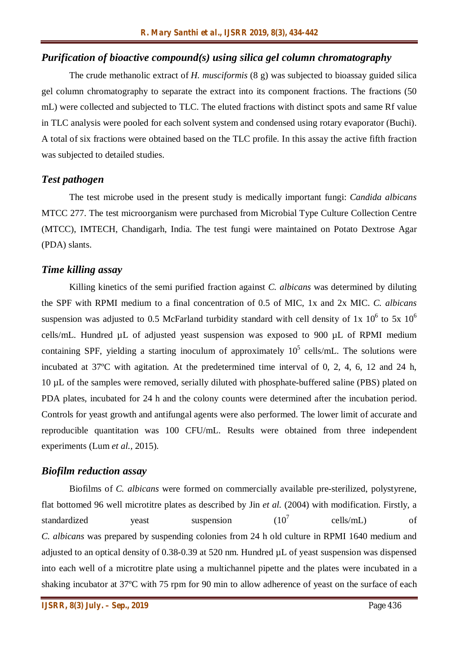#### *Purification of bioactive compound(s) using silica gel column chromatography*

The crude methanolic extract of *H. musciformis* (8 g) was subjected to bioassay guided silica gel column chromatography to separate the extract into its component fractions. The fractions (50 mL) were collected and subjected to TLC. The eluted fractions with distinct spots and same Rf value in TLC analysis were pooled for each solvent system and condensed using rotary evaporator (Buchi). A total of six fractions were obtained based on the TLC profile. In this assay the active fifth fraction was subjected to detailed studies.

#### *Test pathogen*

The test microbe used in the present study is medically important fungi: *Candida albicans*  MTCC 277. The test microorganism were purchased from Microbial Type Culture Collection Centre (MTCC), IMTECH, Chandigarh, India. The test fungi were maintained on Potato Dextrose Agar (PDA) slants.

#### *Time killing assay*

Killing kinetics of the semi purified fraction against *C. albicans* was determined by diluting the SPF with RPMI medium to a final concentration of 0.5 of MIC, 1x and 2x MIC. *C. albicans* suspension was adjusted to 0.5 McFarland turbidity standard with cell density of 1x  $10^6$  to 5x  $10^6$ cells/mL. Hundred  $\mu$ L of adjusted yeast suspension was exposed to 900  $\mu$ L of RPMI medium containing SPF, yielding a starting inoculum of approximately  $10^5$  cells/mL. The solutions were incubated at 37ºC with agitation. At the predetermined time interval of 0, 2, 4, 6, 12 and 24 h, 10 µL of the samples were removed, serially diluted with phosphate-buffered saline (PBS) plated on PDA plates, incubated for 24 h and the colony counts were determined after the incubation period. Controls for yeast growth and antifungal agents were also performed. The lower limit of accurate and reproducible quantitation was 100 CFU/mL. Results were obtained from three independent experiments (Lum *et al.,* 2015).

#### *Biofilm reduction assay*

Biofilms of *C. albicans* were formed on commercially available pre-sterilized, polystyrene, flat bottomed 96 well microtitre plates as described by Jin *et al.* (2004) with modification. Firstly, a standardized veast suspension  $(10^7$ cells/mL) of *C. albicans* was prepared by suspending colonies from 24 h old culture in RPMI 1640 medium and adjusted to an optical density of 0.38-0.39 at 520 nm. Hundred µL of yeast suspension was dispensed into each well of a microtitre plate using a multichannel pipette and the plates were incubated in a shaking incubator at 37ºC with 75 rpm for 90 min to allow adherence of yeast on the surface of each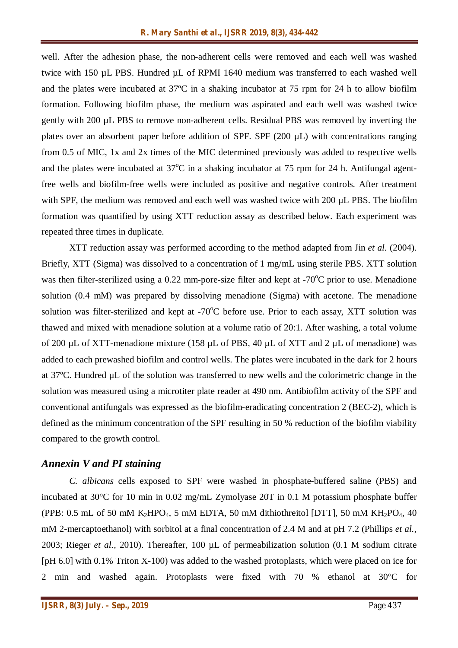well. After the adhesion phase, the non-adherent cells were removed and each well was washed twice with 150 µL PBS. Hundred µL of RPMI 1640 medium was transferred to each washed well and the plates were incubated at 37ºC in a shaking incubator at 75 rpm for 24 h to allow biofilm formation. Following biofilm phase, the medium was aspirated and each well was washed twice gently with 200 µL PBS to remove non-adherent cells. Residual PBS was removed by inverting the plates over an absorbent paper before addition of SPF. SPF (200 µL) with concentrations ranging from 0.5 of MIC, 1x and 2x times of the MIC determined previously was added to respective wells and the plates were incubated at  $37^{\circ}$ C in a shaking incubator at 75 rpm for 24 h. Antifungal agentfree wells and biofilm-free wells were included as positive and negative controls. After treatment with SPF, the medium was removed and each well was washed twice with 200 µL PBS. The biofilm formation was quantified by using XTT reduction assay as described below. Each experiment was repeated three times in duplicate.

XTT reduction assay was performed according to the method adapted from Jin *et al.* (2004). Briefly, XTT (Sigma) was dissolved to a concentration of 1 mg/mL using sterile PBS. XTT solution was then filter-sterilized using a  $0.22$  mm-pore-size filter and kept at  $-70^{\circ}$ C prior to use. Menadione solution (0.4 mM) was prepared by dissolving menadione (Sigma) with acetone. The menadione solution was filter-sterilized and kept at  $-70^{\circ}$ C before use. Prior to each assay, XTT solution was thawed and mixed with menadione solution at a volume ratio of 20:1. After washing, a total volume of 200 µL of XTT-menadione mixture (158 µL of PBS, 40 µL of XTT and 2 µL of menadione) was added to each prewashed biofilm and control wells. The plates were incubated in the dark for 2 hours at 37ºC. Hundred µL of the solution was transferred to new wells and the colorimetric change in the solution was measured using a microtiter plate reader at 490 nm. Antibiofilm activity of the SPF and conventional antifungals was expressed as the biofilm-eradicating concentration 2 (BEC-2), which is defined as the minimum concentration of the SPF resulting in 50 % reduction of the biofilm viability compared to the growth control.

#### *Annexin V and PI staining*

*C. albicans* cells exposed to SPF were washed in phosphate-buffered saline (PBS) and incubated at 30°C for 10 min in 0.02 mg/mL Zymolyase 20T in 0.1 M potassium phosphate buffer (PPB: 0.5 mL of 50 mM K<sub>2</sub>HPO<sub>4</sub>, 5 mM EDTA, 50 mM dithiothreitol [DTT], 50 mM KH<sub>2</sub>PO<sub>4</sub>, 40 mM 2-mercaptoethanol) with sorbitol at a final concentration of 2.4 M and at pH 7.2 (Phillips *et al.,* 2003; Rieger *et al.,* 2010). Thereafter, 100 µL of permeabilization solution (0.1 M sodium citrate [pH 6.0] with 0.1% Triton X-100) was added to the washed protoplasts, which were placed on ice for 2 min and washed again. Protoplasts were fixed with 70 % ethanol at 30°C for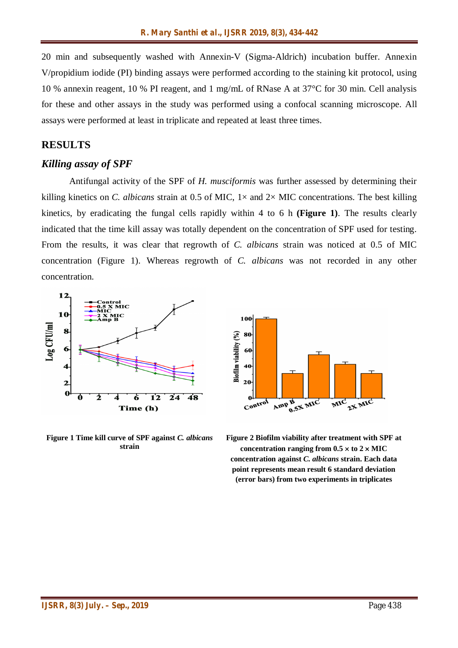20 min and subsequently washed with Annexin-V (Sigma-Aldrich) incubation buffer. Annexin V/propidium iodide (PI) binding assays were performed according to the staining kit protocol, using 10 % annexin reagent, 10 % PI reagent, and 1 mg/mL of RNase A at 37°C for 30 min. Cell analysis for these and other assays in the study was performed using a confocal scanning microscope. All assays were performed at least in triplicate and repeated at least three times.

#### **RESULTS**

#### *Killing assay of SPF*

Antifungal activity of the SPF of *H. musciformis* was further assessed by determining their killing kinetics on *C. albicans* strain at 0.5 of MIC,  $1 \times$  and  $2 \times$  MIC concentrations. The best killing kinetics, by eradicating the fungal cells rapidly within 4 to 6 h **(Figure 1)**. The results clearly indicated that the time kill assay was totally dependent on the concentration of SPF used for testing. From the results, it was clear that regrowth of *C. albicans* strain was noticed at 0.5 of MIC concentration (Figure 1). Whereas regrowth of *C. albicans* was not recorded in any other concentration.



**Figure 1 Time kill curve of SPF against** *C. albicans*  **strain**



**Figure 2 Biofilm viability after treatment with SPF at**  concentration ranging from  $0.5 \times$  to  $2 \times$  MIC **concentration against** *C. albicans* **strain. Each data point represents mean result 6 standard deviation (error bars) from two experiments in triplicates**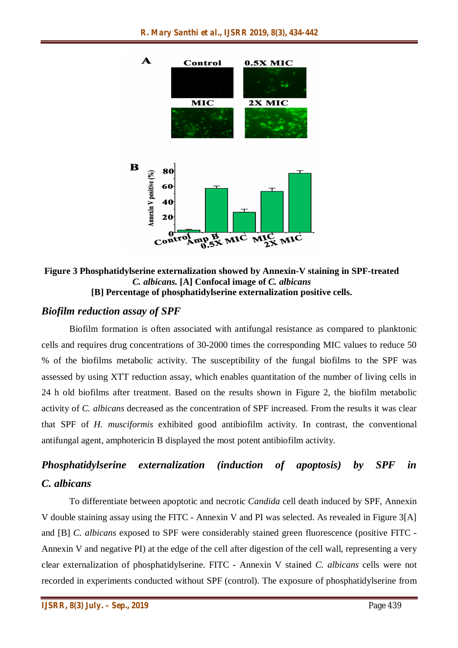

**Figure 3 Phosphatidylserine externalization showed by Annexin-V staining in SPF-treated**  *C. albicans.* **[A] Confocal image of** *C. albicans*  **[B] Percentage of phosphatidylserine externalization positive cells.**

# *Biofilm reduction assay of SPF*

Biofilm formation is often associated with antifungal resistance as compared to planktonic cells and requires drug concentrations of 30-2000 times the corresponding MIC values to reduce 50 % of the biofilms metabolic activity. The susceptibility of the fungal biofilms to the SPF was assessed by using XTT reduction assay, which enables quantitation of the number of living cells in 24 h old biofilms after treatment. Based on the results shown in Figure 2, the biofilm metabolic activity of *C. albicans* decreased as the concentration of SPF increased. From the results it was clear that SPF of *H. musciformis* exhibited good antibiofilm activity. In contrast, the conventional antifungal agent, amphotericin B displayed the most potent antibiofilm activity.

# *Phosphatidylserine externalization (induction of apoptosis) by SPF in C. albicans*

To differentiate between apoptotic and necrotic *Candida* cell death induced by SPF, Annexin V double staining assay using the FITC - Annexin V and PI was selected. As revealed in Figure 3[A] and [B] *C. albicans* exposed to SPF were considerably stained green fluorescence (positive FITC - Annexin V and negative PI) at the edge of the cell after digestion of the cell wall, representing a very clear externalization of phosphatidylserine. FITC - Annexin V stained *C. albicans* cells were not recorded in experiments conducted without SPF (control). The exposure of phosphatidylserine from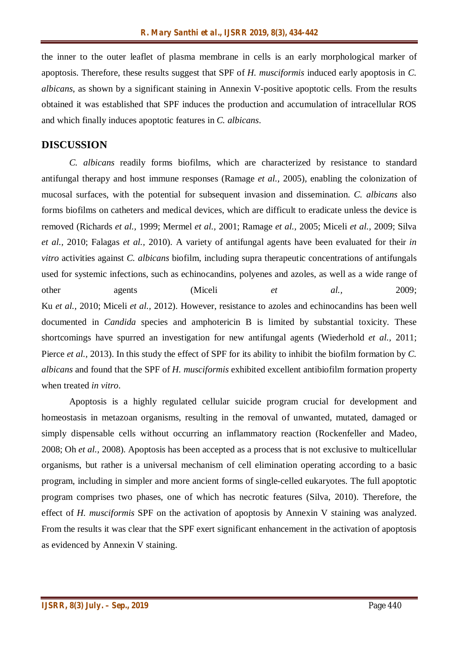the inner to the outer leaflet of plasma membrane in cells is an early morphological marker of apoptosis. Therefore, these results suggest that SPF of *H. musciformis* induced early apoptosis in *C. albicans*, as shown by a significant staining in Annexin V-positive apoptotic cells. From the results obtained it was established that SPF induces the production and accumulation of intracellular ROS and which finally induces apoptotic features in *C. albicans*.

## **DISCUSSION**

*C. albicans* readily forms biofilms, which are characterized by resistance to standard antifungal therapy and host immune responses (Ramage *et al.,* 2005), enabling the colonization of mucosal surfaces, with the potential for subsequent invasion and dissemination. *C. albicans* also forms biofilms on catheters and medical devices, which are difficult to eradicate unless the device is removed (Richards *et al.,* 1999; Mermel *et al.,* 2001; Ramage *et al.,* 2005; Miceli *et al.,* 2009; Silva *et al.,* 2010; Falagas *et al.,* 2010). A variety of antifungal agents have been evaluated for their *in vitro* activities against *C. albicans* biofilm, including supra therapeutic concentrations of antifungals used for systemic infections, such as echinocandins, polyenes and azoles, as well as a wide range of other agents (Miceli *et al.*, 2009; Ku *et al.,* 2010; Miceli *et al.,* 2012). However, resistance to azoles and echinocandins has been well documented in *Candida* species and amphotericin B is limited by substantial toxicity. These shortcomings have spurred an investigation for new antifungal agents (Wiederhold *et al.,* 2011; Pierce *et al.,* 2013). In this study the effect of SPF for its ability to inhibit the biofilm formation by *C. albicans* and found that the SPF of *H. musciformis* exhibited excellent antibiofilm formation property when treated *in vitro*.

Apoptosis is a highly regulated cellular suicide program crucial for development and homeostasis in metazoan organisms, resulting in the removal of unwanted, mutated, damaged or simply dispensable cells without occurring an inflammatory reaction (Rockenfeller and Madeo, 2008; Oh *et al.,* 2008). Apoptosis has been accepted as a process that is not exclusive to multicellular organisms, but rather is a universal mechanism of cell elimination operating according to a basic program, including in simpler and more ancient forms of single-celled eukaryotes. The full apoptotic program comprises two phases, one of which has necrotic features (Silva, 2010). Therefore, the effect of *H. musciformis* SPF on the activation of apoptosis by Annexin V staining was analyzed. From the results it was clear that the SPF exert significant enhancement in the activation of apoptosis as evidenced by Annexin V staining.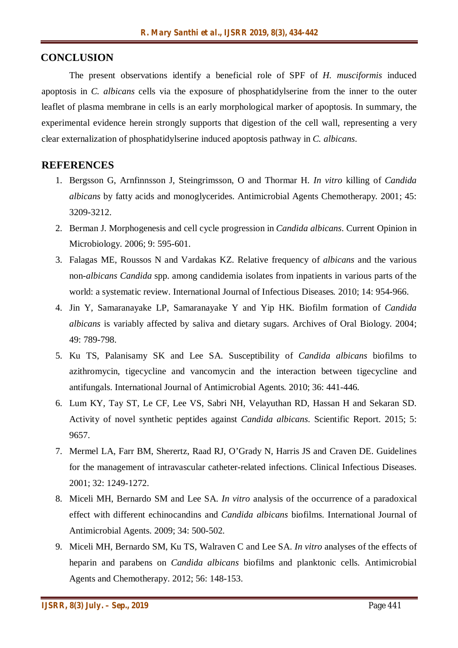## **CONCLUSION**

The present observations identify a beneficial role of SPF of *H. musciformis* induced apoptosis in *C. albicans* cells via the exposure of phosphatidylserine from the inner to the outer leaflet of plasma membrane in cells is an early morphological marker of apoptosis. In summary, the experimental evidence herein strongly supports that digestion of the cell wall, representing a very clear externalization of phosphatidylserine induced apoptosis pathway in *C. albicans*.

#### **REFERENCES**

- 1. Bergsson G, Arnfinnsson J, Steingrimsson, O and Thormar H. *In vitro* killing of *Candida albicans* by fatty acids and monoglycerides. Antimicrobial Agents Chemotherapy*.* 2001; 45: 3209-3212.
- 2. Berman J. Morphogenesis and cell cycle progression in *Candida albicans*. Current Opinion in Microbiology. 2006; 9: 595-601.
- 3. Falagas ME, Roussos N and Vardakas KZ. Relative frequency of *albicans* and the various non-*albicans Candida* spp. among candidemia isolates from inpatients in various parts of the world: a systematic review. International Journal of Infectious Diseases*.* 2010; 14: 954-966.
- 4. Jin Y, Samaranayake LP, Samaranayake Y and Yip HK. Biofilm formation of *Candida albicans* is variably affected by saliva and dietary sugars. Archives of Oral Biology. 2004; 49: 789-798.
- 5. Ku TS, Palanisamy SK and Lee SA. Susceptibility of *Candida albicans* biofilms to azithromycin, tigecycline and vancomycin and the interaction between tigecycline and antifungals. International Journal of Antimicrobial Agents*.* 2010; 36: 441*-*446.
- 6. Lum KY, Tay ST, Le CF, Lee VS, Sabri NH, Velayuthan RD, Hassan H and Sekaran SD. Activity of novel synthetic peptides against *Candida albicans*. Scientific Report. 2015; 5: 9657.
- 7. Mermel LA, Farr BM, Sherertz, Raad RJ, O'Grady N, Harris JS and Craven DE. Guidelines for the management of intravascular catheter-related infections. Clinical Infectious Diseases. 2001; 32: 1249-1272.
- 8. Miceli MH, Bernardo SM and Lee SA. *In vitro* analysis of the occurrence of a paradoxical effect with different echinocandins and *Candida albicans* biofilms. International Journal of Antimicrobial Agents. 2009; 34: 500-502.
- 9. Miceli MH, Bernardo SM, Ku TS, Walraven C and Lee SA. *In vitro* analyses of the effects of heparin and parabens on *Candida albicans* biofilms and planktonic cells. Antimicrobial Agents and Chemotherapy. 2012; 56: 148-153.